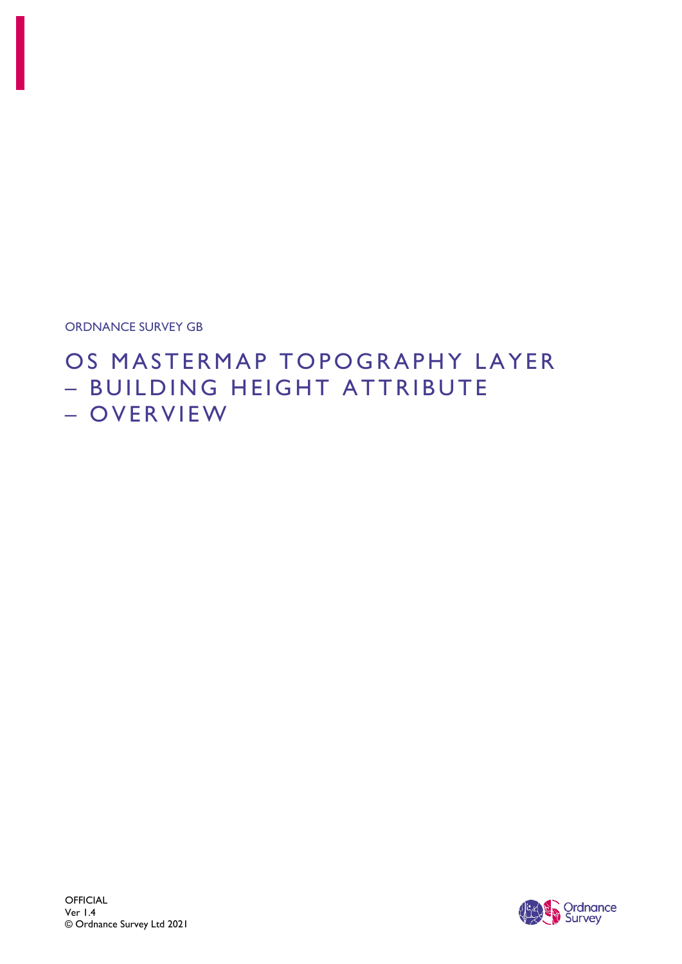ORDNANCE SURVEY GB

# OS MASTERMAP TOPOGRAPHY LAYER – BUILDING HEIGHT ATTRIBUTE – OVERVIEW

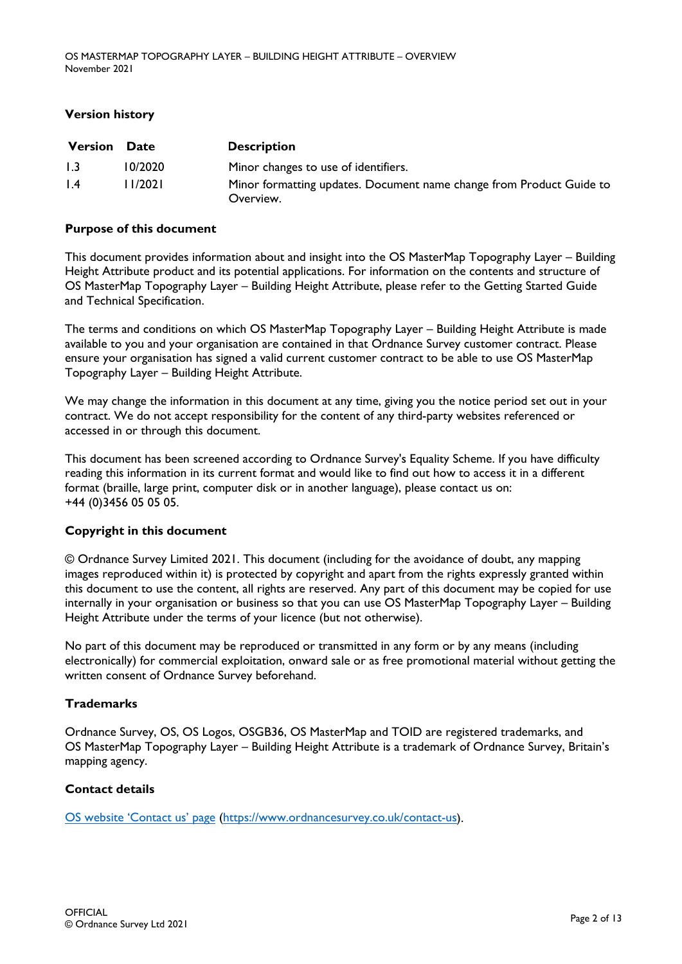#### **Version history**

| <b>Version</b>   | <b>Date</b> | <b>Description</b>                                                                |
|------------------|-------------|-----------------------------------------------------------------------------------|
| 1.3              | 10/2020     | Minor changes to use of identifiers.                                              |
| $\overline{1.4}$ | 1/2021      | Minor formatting updates. Document name change from Product Guide to<br>Overview. |

#### **Purpose of this document**

This document provides information about and insight into the OS MasterMap Topography Layer – Building Height Attribute product and its potential applications. For information on the contents and structure of OS MasterMap Topography Layer – Building Height Attribute, please refer to the Getting Started Guide and Technical Specification.

The terms and conditions on which OS MasterMap Topography Layer – Building Height Attribute is made available to you and your organisation are contained in that Ordnance Survey customer contract. Please ensure your organisation has signed a valid current customer contract to be able to use OS MasterMap Topography Layer – Building Height Attribute.

We may change the information in this document at any time, giving you the notice period set out in your contract. We do not accept responsibility for the content of any third-party websites referenced or accessed in or through this document.

This document has been screened according to Ordnance Survey's Equality Scheme. If you have difficulty reading this information in its current format and would like to find out how to access it in a different format (braille, large print, computer disk or in another language), please contact us on: +44 (0)3456 05 05 05.

#### **Copyright in this document**

© Ordnance Survey Limited 2021. This document (including for the avoidance of doubt, any mapping images reproduced within it) is protected by copyright and apart from the rights expressly granted within this document to use the content, all rights are reserved. Any part of this document may be copied for use internally in your organisation or business so that you can use OS MasterMap Topography Layer – Building Height Attribute under the terms of your licence (but not otherwise).

No part of this document may be reproduced or transmitted in any form or by any means (including electronically) for commercial exploitation, onward sale or as free promotional material without getting the written consent of Ordnance Survey beforehand.

#### **Trademarks**

Ordnance Survey, OS, OS Logos, OSGB36, OS MasterMap and TOID are registered trademarks, and OS MasterMap Topography Layer – Building Height Attribute is a trademark of Ordnance Survey, Britain's mapping agency.

#### **Contact details**

[OS website 'Contact us' page \(https://www.ordnancesurvey.co.uk/contact-us\)](https://www.ordnancesurvey.co.uk/contact-us).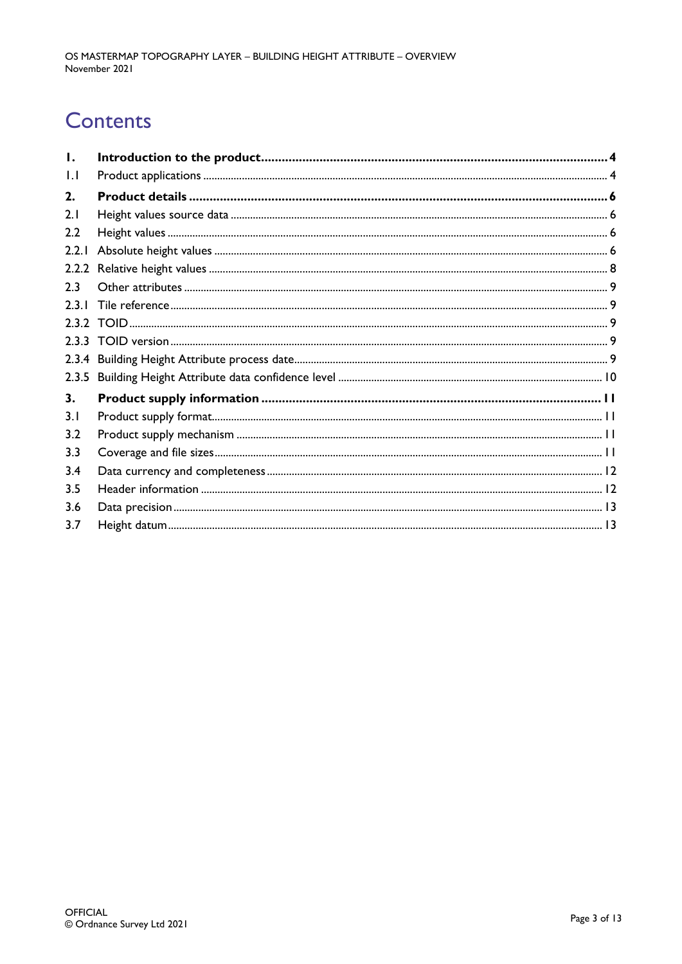# **Contents**

| Ι.               |  |
|------------------|--|
| $\mathsf{L}$     |  |
| 2.               |  |
| 2.1              |  |
| 2.2              |  |
| 2.2.1            |  |
| 2.2.2            |  |
| 2.3              |  |
| 2.3 <sub>1</sub> |  |
|                  |  |
|                  |  |
|                  |  |
| 2.3.5            |  |
| 3.               |  |
| 3.1              |  |
| 3.2              |  |
| 3.3              |  |
| 3.4              |  |
| 3.5              |  |
| 3.6              |  |
| 3.7              |  |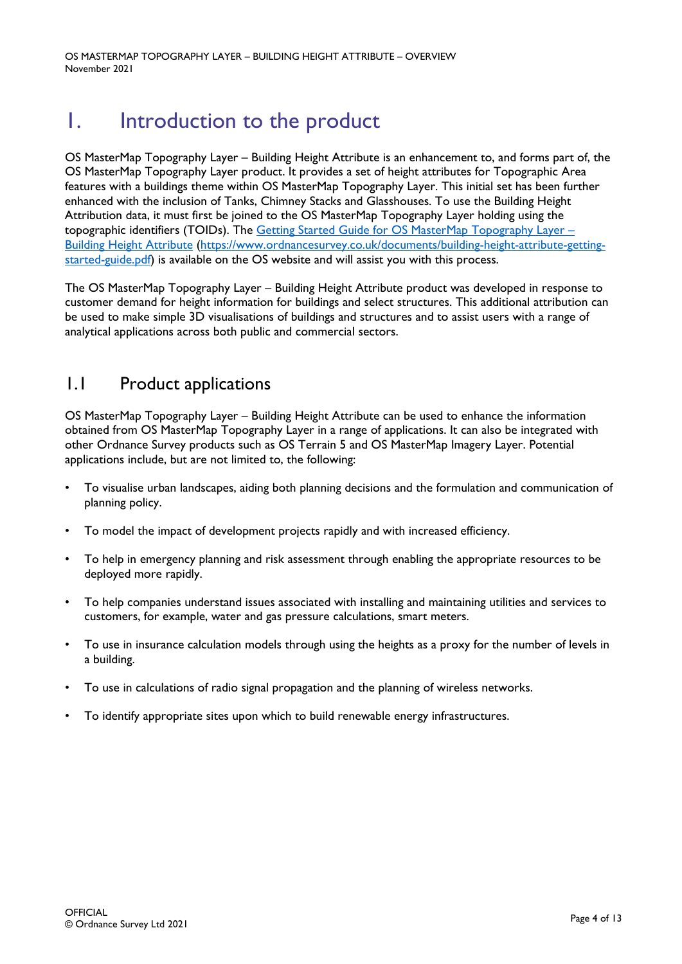OS MASTERMAP TOPOGRAPHY LAYER – BUILDING HEIGHT ATTRIBUTE – OVERVIEW November 2021

# <span id="page-3-0"></span>1. Introduction to the product

OS MasterMap Topography Layer – Building Height Attribute is an enhancement to, and forms part of, the OS MasterMap Topography Layer product. It provides a set of height attributes for Topographic Area features with a buildings theme within OS MasterMap Topography Layer. This initial set has been further enhanced with the inclusion of Tanks, Chimney Stacks and Glasshouses. To use the Building Height Attribution data, it must first be joined to the OS MasterMap Topography Layer holding using the topographic identifiers (TOIDs). The Getting Started Guide for OS MasterMap Topography Layer – [Building Height Attribute \(https://www.ordnancesurvey.co.uk/documents/building-height-attribute-getting](https://www.ordnancesurvey.co.uk/documents/building-height-attribute-getting-started-guide.pdf)[started-guide.pdf\)](https://www.ordnancesurvey.co.uk/documents/building-height-attribute-getting-started-guide.pdf) is available on the OS website and will assist you with this process.

The OS MasterMap Topography Layer – Building Height Attribute product was developed in response to customer demand for height information for buildings and select structures. This additional attribution can be used to make simple 3D visualisations of buildings and structures and to assist users with a range of analytical applications across both public and commercial sectors.

## <span id="page-3-1"></span>1.1 Product applications

OS MasterMap Topography Layer – Building Height Attribute can be used to enhance the information obtained from OS MasterMap Topography Layer in a range of applications. It can also be integrated with other Ordnance Survey products such as OS Terrain 5 and OS MasterMap Imagery Layer. Potential applications include, but are not limited to, the following:

- To visualise urban landscapes, aiding both planning decisions and the formulation and communication of planning policy.
- To model the impact of development projects rapidly and with increased efficiency.
- To help in emergency planning and risk assessment through enabling the appropriate resources to be deployed more rapidly.
- To help companies understand issues associated with installing and maintaining utilities and services to customers, for example, water and gas pressure calculations, smart meters.
- To use in insurance calculation models through using the heights as a proxy for the number of levels in a building.
- To use in calculations of radio signal propagation and the planning of wireless networks.
- To identify appropriate sites upon which to build renewable energy infrastructures.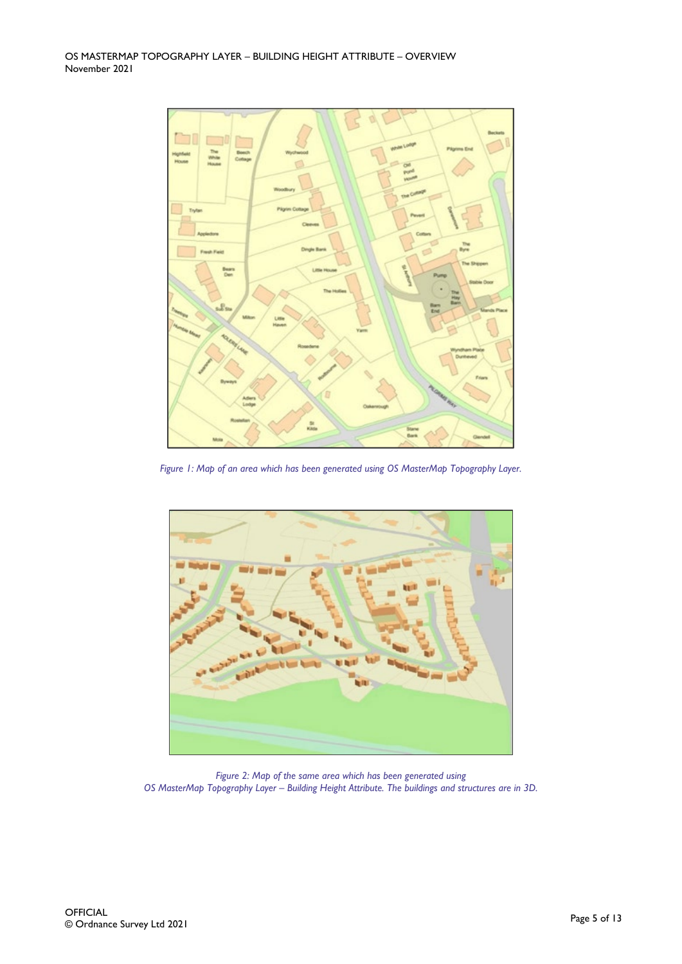

*Figure 1: Map of an area which has been generated using OS MasterMap Topography Layer.* 



*Figure 2: Map of the same area which has been generated using OS MasterMap Topography Layer – Building Height Attribute. The buildings and structures are in 3D.*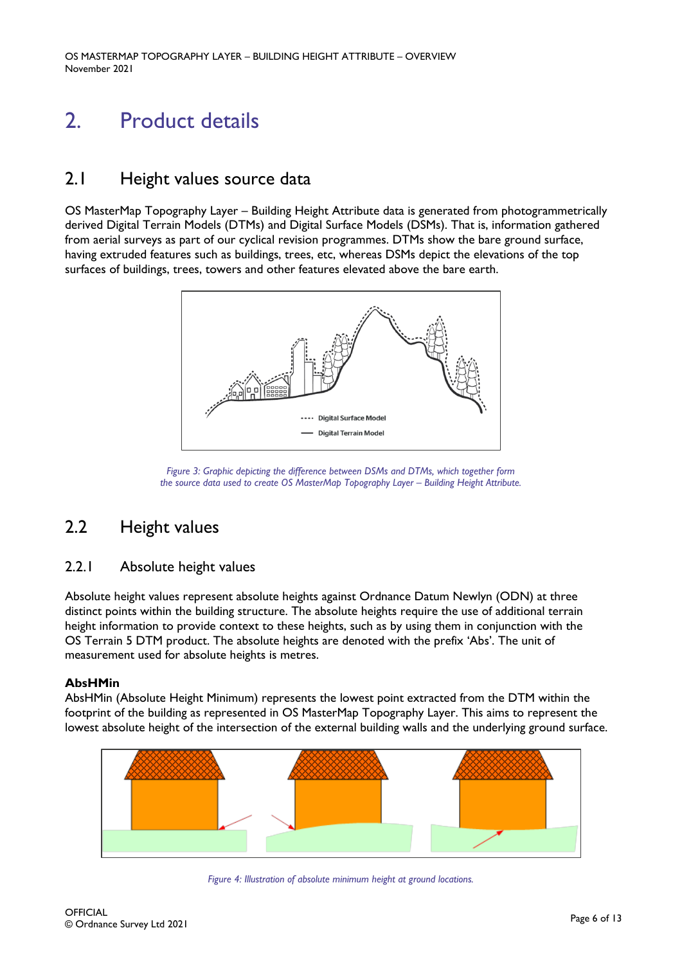# <span id="page-5-0"></span>2. Product details

## <span id="page-5-1"></span>2.1 Height values source data

OS MasterMap Topography Layer – Building Height Attribute data is generated from photogrammetrically derived Digital Terrain Models (DTMs) and Digital Surface Models (DSMs). That is, information gathered from aerial surveys as part of our cyclical revision programmes. DTMs show the bare ground surface, having extruded features such as buildings, trees, etc, whereas DSMs depict the elevations of the top surfaces of buildings, trees, towers and other features elevated above the bare earth.



*Figure 3: Graphic depicting the difference between DSMs and DTMs, which together form the source data used to create OS MasterMap Topography Layer – Building Height Attribute.* 

# <span id="page-5-2"></span>2.2 Height values

### <span id="page-5-3"></span>2.2.1 Absolute height values

Absolute height values represent absolute heights against Ordnance Datum Newlyn (ODN) at three distinct points within the building structure. The absolute heights require the use of additional terrain height information to provide context to these heights, such as by using them in conjunction with the OS Terrain 5 DTM product. The absolute heights are denoted with the prefix 'Abs'. The unit of measurement used for absolute heights is metres.

#### **AbsHMin**

AbsHMin (Absolute Height Minimum) represents the lowest point extracted from the DTM within the footprint of the building as represented in OS MasterMap Topography Layer. This aims to represent the lowest absolute height of the intersection of the external building walls and the underlying ground surface.



*Figure 4: Illustration of absolute minimum height at ground locations.*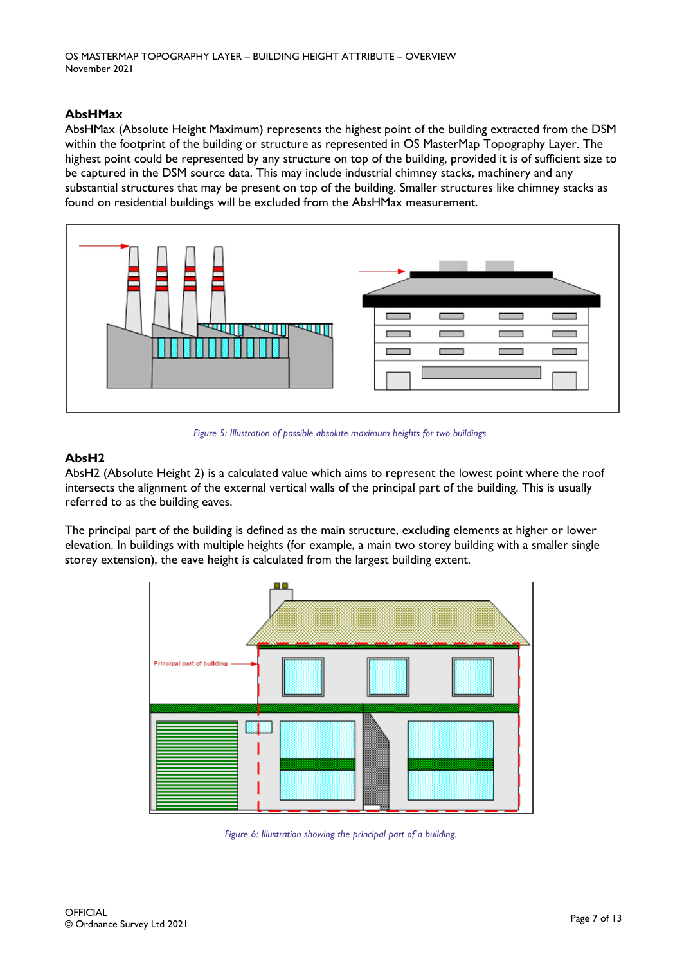#### **AbsHMax**

AbsHMax (Absolute Height Maximum) represents the highest point of the building extracted from the DSM within the footprint of the building or structure as represented in OS MasterMap Topography Layer. The highest point could be represented by any structure on top of the building, provided it is of sufficient size to be captured in the DSM source data. This may include industrial chimney stacks, machinery and any substantial structures that may be present on top of the building. Smaller structures like chimney stacks as found on residential buildings will be excluded from the AbsHMax measurement.



*Figure 5: Illustration of possible absolute maximum heights for two buildings.* 

#### **AbsH2**

AbsH2 (Absolute Height 2) is a calculated value which aims to represent the lowest point where the roof intersects the alignment of the external vertical walls of the principal part of the building. This is usually referred to as the building eaves.

The principal part of the building is defined as the main structure, excluding elements at higher or lower elevation. In buildings with multiple heights (for example, a main two storey building with a smaller single storey extension), the eave height is calculated from the largest building extent.



*Figure 6: Illustration showing the principal part of a building.*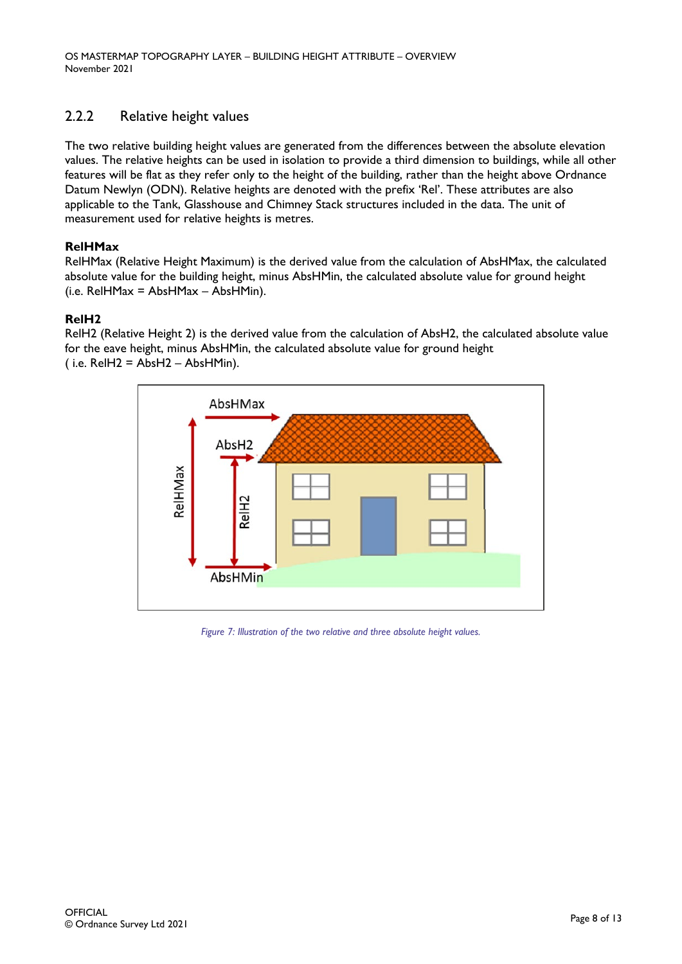### <span id="page-7-0"></span>2.2.2 Relative height values

The two relative building height values are generated from the differences between the absolute elevation values. The relative heights can be used in isolation to provide a third dimension to buildings, while all other features will be flat as they refer only to the height of the building, rather than the height above Ordnance Datum Newlyn (ODN). Relative heights are denoted with the prefix 'Rel'. These attributes are also applicable to the Tank, Glasshouse and Chimney Stack structures included in the data. The unit of measurement used for relative heights is metres.

#### **RelHMax**

RelHMax (Relative Height Maximum) is the derived value from the calculation of AbsHMax, the calculated absolute value for the building height, minus AbsHMin, the calculated absolute value for ground height (i.e. RelHMax = AbsHMax – AbsHMin).

#### **RelH2**

RelH2 (Relative Height 2) is the derived value from the calculation of AbsH2, the calculated absolute value for the eave height, minus AbsHMin, the calculated absolute value for ground height  $(i.e.$  RelH2 = AbsH2 – AbsHMin).



*Figure 7: Illustration of the two relative and three absolute height values.*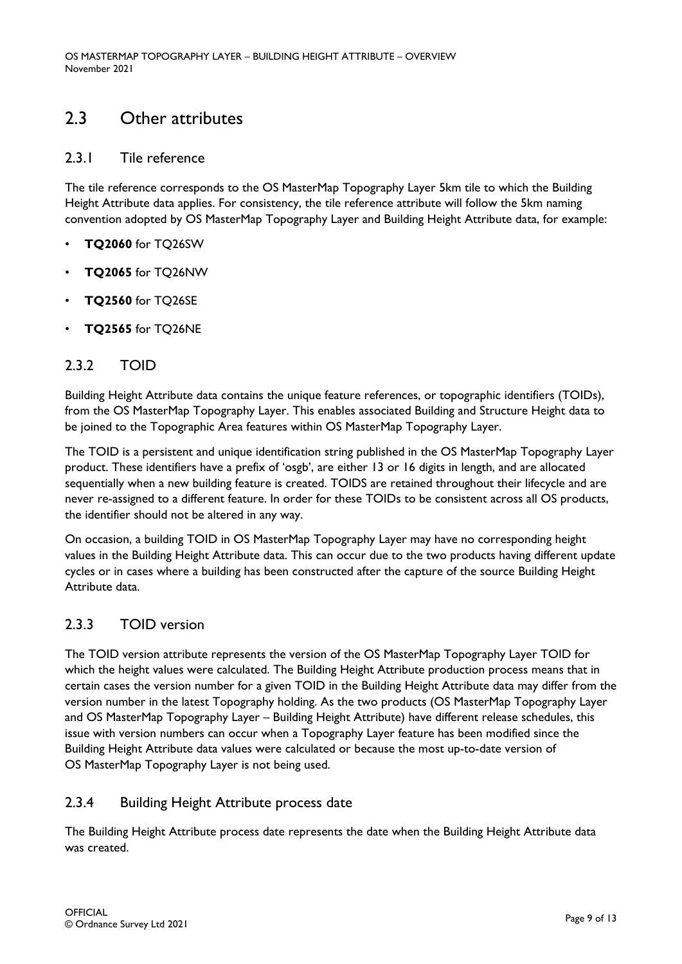## <span id="page-8-0"></span>2.3 Other attributes

### <span id="page-8-1"></span>2.3.1 Tile reference

The tile reference corresponds to the OS MasterMap Topography Layer 5km tile to which the Building Height Attribute data applies. For consistency, the tile reference attribute will follow the 5km naming convention adopted by OS MasterMap Topography Layer and Building Height Attribute data, for example:

- **TQ2060** for TQ26SW
- **TQ2065** for TQ26NW
- **TQ2560** for TQ26SE
- **TQ2565** for TQ26NE

### <span id="page-8-2"></span>2.3.2 TOID

Building Height Attribute data contains the unique feature references, or topographic identifiers (TOIDs), from the OS MasterMap Topography Layer. This enables associated Building and Structure Height data to be joined to the Topographic Area features within OS MasterMap Topography Layer.

The TOID is a persistent and unique identification string published in the OS MasterMap Topography Layer product. These identifiers have a prefix of 'osgb', are either 13 or 16 digits in length, and are allocated sequentially when a new building feature is created. TOIDS are retained throughout their lifecycle and are never re-assigned to a different feature. In order for these TOIDs to be consistent across all OS products, the identifier should not be altered in any way.

On occasion, a building TOID in OS MasterMap Topography Layer may have no corresponding height values in the Building Height Attribute data. This can occur due to the two products having different update cycles or in cases where a building has been constructed after the capture of the source Building Height Attribute data.

### <span id="page-8-3"></span>2.3.3 TOID version

The TOID version attribute represents the version of the OS MasterMap Topography Layer TOID for which the height values were calculated. The Building Height Attribute production process means that in certain cases the version number for a given TOID in the Building Height Attribute data may differ from the version number in the latest Topography holding. As the two products (OS MasterMap Topography Layer and OS MasterMap Topography Layer – Building Height Attribute) have different release schedules, this issue with version numbers can occur when a Topography Layer feature has been modified since the Building Height Attribute data values were calculated or because the most up-to-date version of OS MasterMap Topography Layer is not being used.

### <span id="page-8-4"></span>2.3.4 Building Height Attribute process date

The Building Height Attribute process date represents the date when the Building Height Attribute data was created.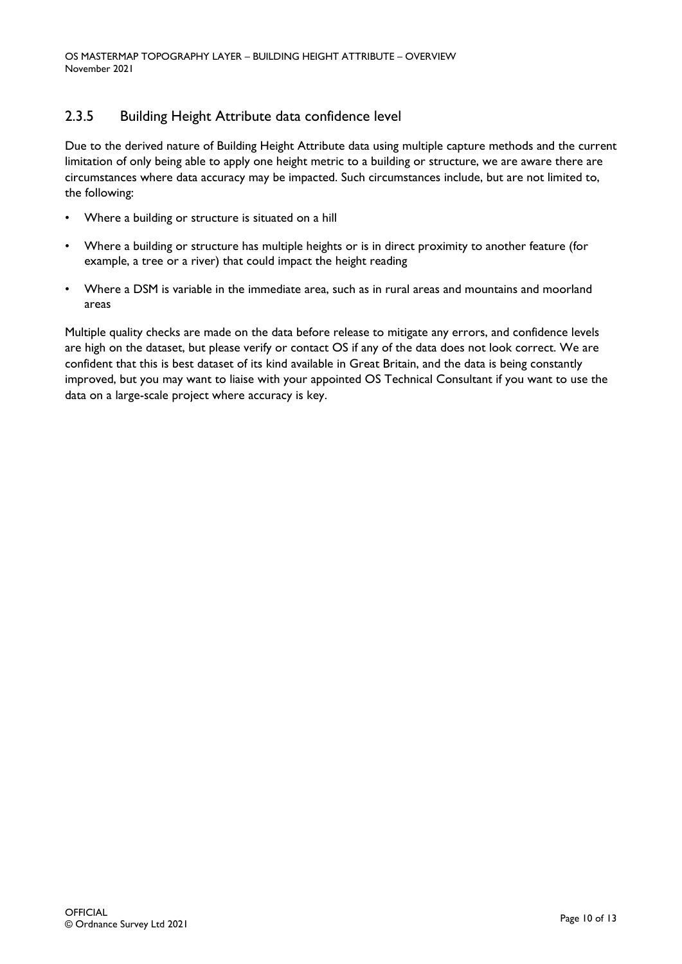### <span id="page-9-0"></span>2.3.5 Building Height Attribute data confidence level

Due to the derived nature of Building Height Attribute data using multiple capture methods and the current limitation of only being able to apply one height metric to a building or structure, we are aware there are circumstances where data accuracy may be impacted. Such circumstances include, but are not limited to, the following:

- Where a building or structure is situated on a hill
- Where a building or structure has multiple heights or is in direct proximity to another feature (for example, a tree or a river) that could impact the height reading
- Where a DSM is variable in the immediate area, such as in rural areas and mountains and moorland areas

Multiple quality checks are made on the data before release to mitigate any errors, and confidence levels are high on the dataset, but please verify or contact OS if any of the data does not look correct. We are confident that this is best dataset of its kind available in Great Britain, and the data is being constantly improved, but you may want to liaise with your appointed OS Technical Consultant if you want to use the data on a large-scale project where accuracy is key.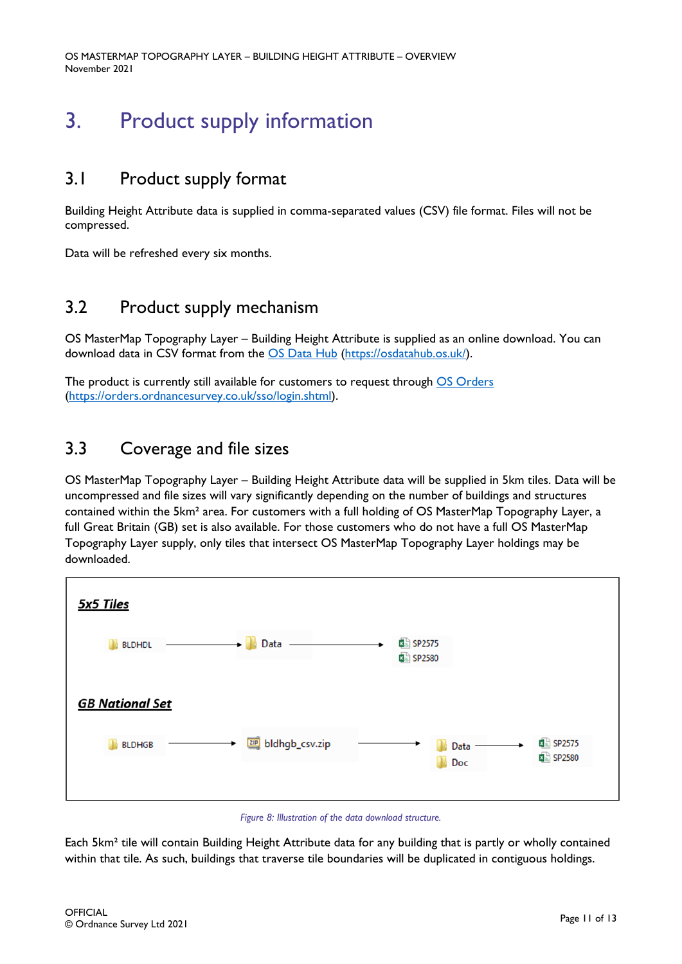OS MASTERMAP TOPOGRAPHY LAYER – BUILDING HEIGHT ATTRIBUTE – OVERVIEW November 2021

# <span id="page-10-0"></span>3. Product supply information

## <span id="page-10-1"></span>3.1 Product supply format

Building Height Attribute data is supplied in comma-separated values (CSV) file format. Files will not be compressed.

<span id="page-10-2"></span>Data will be refreshed every six months.

### 3.2 Product supply mechanism

OS MasterMap Topography Layer – Building Height Attribute is supplied as an online download. You can download data in CSV format from the [OS Data Hub \(https://osdatahub.os.uk/\)](https://osdatahub.os.uk/).

The product is currently still available for customers to request through OS [Orders](https://orders.ordnancesurvey.co.uk/sso/login.shtml) [\(https://orders.ordnancesurvey.co.uk/sso/login.shtml\)](https://orders.ordnancesurvey.co.uk/sso/login.shtml).

## <span id="page-10-3"></span>3.3 Coverage and file sizes

OS MasterMap Topography Layer – Building Height Attribute data will be supplied in 5km tiles. Data will be uncompressed and file sizes will vary significantly depending on the number of buildings and structures contained within the 5km² area. For customers with a full holding of OS MasterMap Topography Layer, a full Great Britain (GB) set is also available. For those customers who do not have a full OS MasterMap Topography Layer supply, only tiles that intersect OS MasterMap Topography Layer holdings may be downloaded.



*Figure 8: Illustration of the data download structure.* 

Each 5km² tile will contain Building Height Attribute data for any building that is partly or wholly contained within that tile. As such, buildings that traverse tile boundaries will be duplicated in contiguous holdings.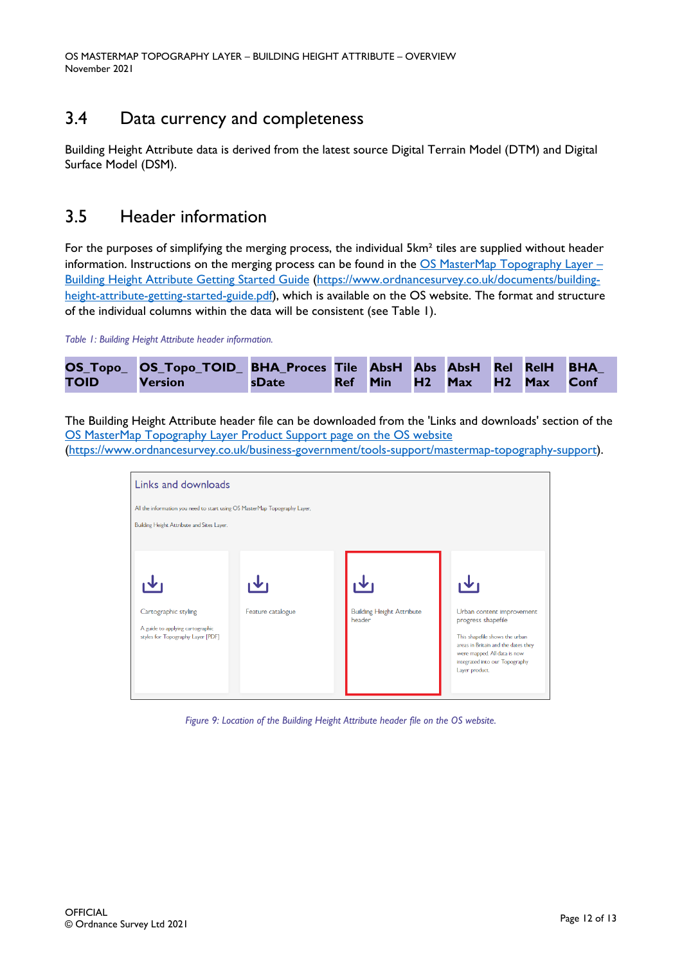# <span id="page-11-0"></span>3.4 Data currency and completeness

Building Height Attribute data is derived from the latest source Digital Terrain Model (DTM) and Digital Surface Model (DSM).

### <span id="page-11-1"></span>3.5 Header information

For the purposes of simplifying the merging process, the individual 5km<sup>2</sup> tiles are supplied without header information. Instructions on the merging process can be found in the  $OS$  MasterMap Topography Layer – [Building Height Attribute Getting Started Guide \(https://www.ordnancesurvey.co.uk/documents/building](https://www.ordnancesurvey.co.uk/documents/building-height-attribute-getting-started-guide.pdf)[height-attribute-getting-started-guide.pdf\)](https://www.ordnancesurvey.co.uk/documents/building-height-attribute-getting-started-guide.pdf), which is available on the OS website. The format and structure of the individual columns within the data will be consistent (see Table 1).

*Table 1: Building Height Attribute header information.*

|             | OS_Topo_ OS_Topo_TOID_ BHA_Proces Tile AbsH Abs AbsH Rel RelH BHA |             |  |                            |  |  |
|-------------|-------------------------------------------------------------------|-------------|--|----------------------------|--|--|
| <b>TOID</b> | <b>Version</b>                                                    | sDate Space |  | Ref Min H2 Max H2 Max Conf |  |  |

The Building Height Attribute header file can be downloaded from the 'Links and downloads' section of the OS [MasterMap Topography Layer Product Support page on the OS website](https://www.ordnancesurvey.co.uk/business-government/tools-support/mastermap-topography-support)

[\(https://www.ordnancesurvey.co.uk/business-government/tools-support/mastermap-topography-support\)](https://www.ordnancesurvey.co.uk/business-government/tools-support/mastermap-topography-support).



*Figure 9: Location of the Building Height Attribute header file on the OS website.*